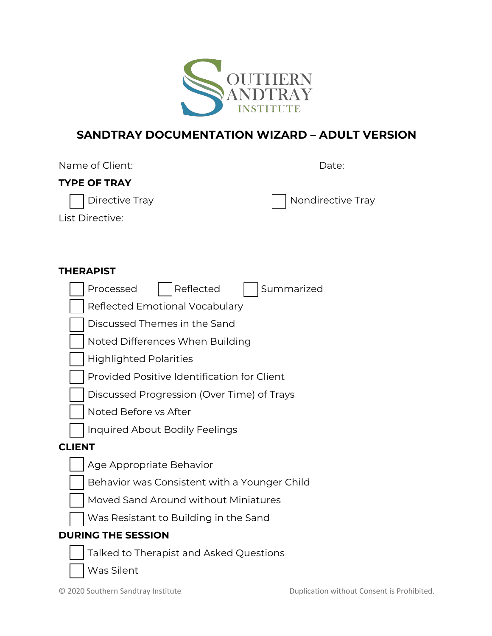

# **SANDTRAY DOCUMENTATION WIZARD – ADULT VERSION**

| Name of Client:     | Date:             |
|---------------------|-------------------|
| <b>TYPE OF TRAY</b> |                   |
| Directive Tray      | Nondirective Tray |
| List Directive:     |                   |

#### **THERAPIST**

|               | Reflected<br>Summarized<br>Processed         |
|---------------|----------------------------------------------|
|               | Reflected Emotional Vocabulary               |
|               | Discussed Themes in the Sand                 |
|               | Noted Differences When Building              |
|               | <b>Highlighted Polarities</b>                |
|               | Provided Positive Identification for Client  |
|               | Discussed Progression (Over Time) of Trays   |
|               | Noted Before vs After                        |
|               | <b>Inquired About Bodily Feelings</b>        |
| <b>CLIENT</b> |                                              |
|               | Age Appropriate Behavior                     |
|               | Behavior was Consistent with a Younger Child |
|               | Moved Sand Around without Miniatures         |
|               | Was Resistant to Building in the Sand        |
|               | <b>DURING THE SESSION</b>                    |
|               | Talked to Therapist and Asked Questions      |
|               | Was Silent                                   |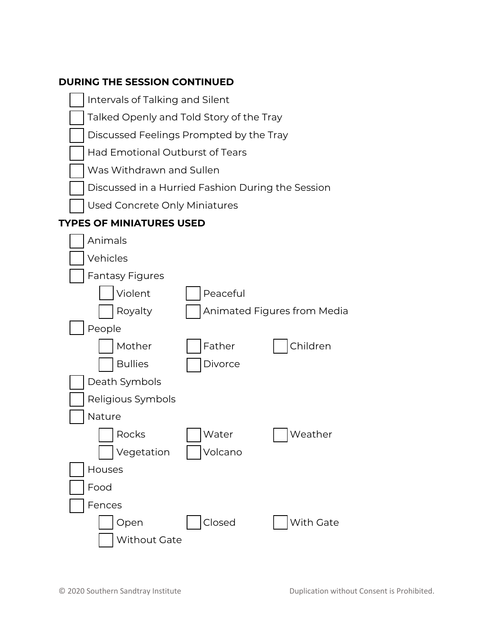### **DURING THE SESSION CONTINUED**

Intervals of Talking and Silent

Had Emotional Outburst of Tears

Was Withdrawn and Sullen

Talked Openly and Told Story of the Tray

Discussed Feelings Prompted by the Tray



Open | Closed | With Gate

Without Gate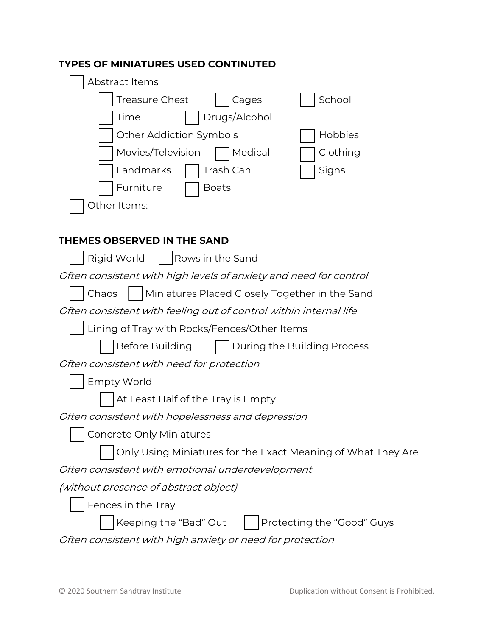|  | <b>TYPES OF MINIATURES USED CONTINUTED</b> |  |  |
|--|--------------------------------------------|--|--|
|--|--------------------------------------------|--|--|

| Abstract Items                                                    |
|-------------------------------------------------------------------|
| School<br><b>Treasure Chest</b><br>Cages                          |
| Drugs/Alcohol<br>Time                                             |
| Other Addiction Symbols<br>Hobbies                                |
| Movies/Television<br>Medical<br>Clothing                          |
| Landmarks<br>Trash Can<br>Signs                                   |
| Furniture<br><b>Boats</b>                                         |
| Other Items:                                                      |
|                                                                   |
| <b>THEMES OBSERVED IN THE SAND</b>                                |
| Rows in the Sand<br>Rigid World                                   |
| Often consistent with high levels of anxiety and need for control |
| Miniatures Placed Closely Together in the Sand<br>Chaos           |
| Often consistent with feeling out of control within internal life |
| Lining of Tray with Rocks/Fences/Other Items                      |
| Before Building<br>During the Building Process                    |
| Often consistent with need for protection                         |
| <b>Empty World</b>                                                |
| At Least Half of the Tray is Empty                                |
| Often consistent with hopelessness and depression                 |
| <b>Concrete Only Miniatures</b>                                   |
| Only Using Miniatures for the Exact Meaning of What They Are      |
| Often consistent with emotional underdevelopment                  |
| <i>(without presence of abstract object)</i>                      |
| Fences in the Tray                                                |
| Keeping the "Bad" Out<br>Protecting the "Good" Guys               |
| Often consistent with high anxiety or need for protection         |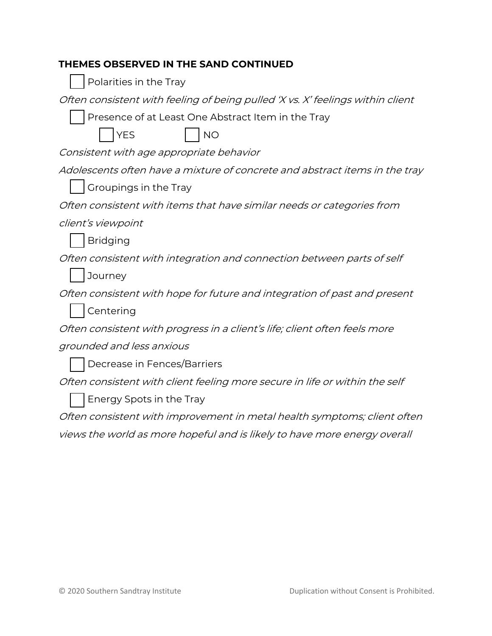#### **THEMES OBSERVED IN THE SAND CONTINUED**

| Polarities in the Tray |  |  |  |
|------------------------|--|--|--|
|------------------------|--|--|--|

Often consistent with feeling of being pulled 'X vs. X' feelings within client

Presence of at Least One Abstract Item in the Tray



Consistent with age appropriate behavior

Adolescents often have a mixture of concrete and abstract items in the tray

|  |  | Groupings in the Tray |  |  |  |
|--|--|-----------------------|--|--|--|
|--|--|-----------------------|--|--|--|

Often consistent with items that have similar needs or categories from

client's viewpoint

Bridging

Often consistent with integration and connection between parts of self

**Journey** 

Often consistent with hope for future and integration of past and present

Centering

Often consistent with progress in a client's life; client often feels more

grounded and less anxious

Decrease in Fences/Barriers

Often consistent with client feeling more secure in life or within the self

Energy Spots in the Tray

Often consistent with improvement in metal health symptoms; client often

views the world as more hopeful and is likely to have more energy overall